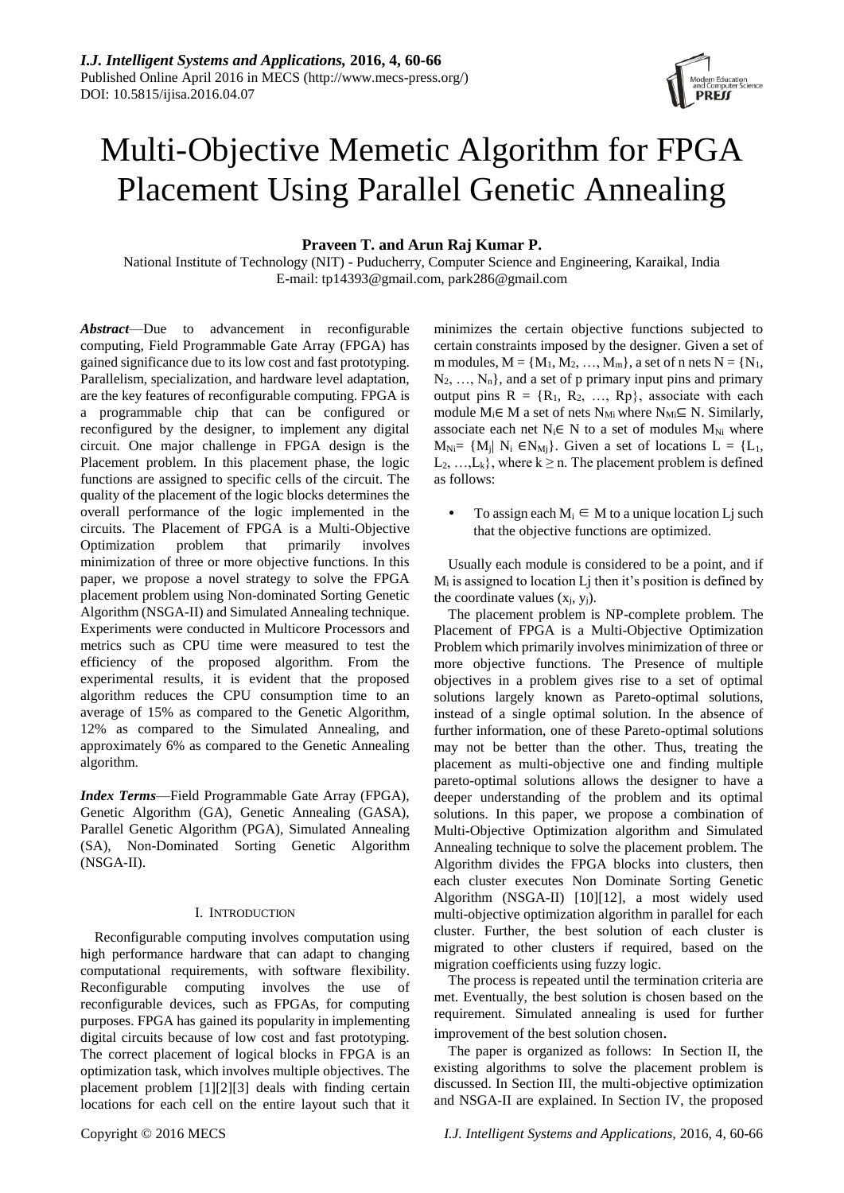# Multi-Objective Memetic Algorithm for FPGA Placement Using Parallel Genetic Annealing

## **Praveen T. and Arun Raj Kumar P.**

National Institute of Technology (NIT) - Puducherry, Computer Science and Engineering, Karaikal, India E-mail: tp14393@gmail.com, park286@gmail.com

*Abstract*—Due to advancement in reconfigurable computing, Field Programmable Gate Array (FPGA) has gained significance due to its low cost and fast prototyping. Parallelism, specialization, and hardware level adaptation, are the key features of reconfigurable computing. FPGA is a programmable chip that can be configured or reconfigured by the designer, to implement any digital circuit. One major challenge in FPGA design is the Placement problem. In this placement phase, the logic functions are assigned to specific cells of the circuit. The quality of the placement of the logic blocks determines the overall performance of the logic implemented in the circuits. The Placement of FPGA is a Multi-Objective Optimization problem that primarily involves minimization of three or more objective functions. In this paper, we propose a novel strategy to solve the FPGA placement problem using Non-dominated Sorting Genetic Algorithm (NSGA-II) and Simulated Annealing technique. Experiments were conducted in Multicore Processors and metrics such as CPU time were measured to test the efficiency of the proposed algorithm. From the experimental results, it is evident that the proposed algorithm reduces the CPU consumption time to an average of 15% as compared to the Genetic Algorithm, 12% as compared to the Simulated Annealing, and approximately 6% as compared to the Genetic Annealing algorithm.

*Index Terms*—Field Programmable Gate Array (FPGA), Genetic Algorithm (GA), Genetic Annealing (GASA), Parallel Genetic Algorithm (PGA), Simulated Annealing (SA), Non-Dominated Sorting Genetic Algorithm (NSGA-II).

#### I. INTRODUCTION

Reconfigurable computing involves computation using high performance hardware that can adapt to changing computational requirements, with software flexibility. Reconfigurable computing involves the use of reconfigurable devices, such as FPGAs, for computing purposes. FPGA has gained its popularity in implementing digital circuits because of low cost and fast prototyping. The correct placement of logical blocks in FPGA is an optimization task, which involves multiple objectives. The placement problem [1][2][3] deals with finding certain locations for each cell on the entire layout such that it minimizes the certain objective functions subjected to certain constraints imposed by the designer. Given a set of m modules,  $M = \{M_1, M_2, ..., M_m\}$ , a set of n nets  $N = \{N_1,$  $N_2, \ldots, N_n$ , and a set of p primary input pins and primary output pins  $R = \{R_1, R_2, ..., R_p\}$ , associate with each module  $M_i \in M$  a set of nets  $N_{Mi}$  where  $N_{Mi} \subseteq N$ . Similarly, associate each net  $N_i \in N$  to a set of modules  $M_{Ni}$  where  $M_{Ni} = \{M_i | N_i \in N_{Mi}\}\$ . Given a set of locations  $L = \{L_1, L_2\}$  $L_2, \ldots, L_k$ , where  $k \ge n$ . The placement problem is defined as follows:

To assign each  $M_i \in M$  to a unique location Lj such that the objective functions are optimized.

Usually each module is considered to be a point, and if  $M<sub>i</sub>$  is assigned to location Lj then it's position is defined by the coordinate values  $(x_j, y_j)$ .

The placement problem is NP-complete problem. The Placement of FPGA is a Multi-Objective Optimization Problem which primarily involves minimization of three or more objective functions. The Presence of multiple objectives in a problem gives rise to a set of optimal solutions largely known as Pareto-optimal solutions, instead of a single optimal solution. In the absence of further information, one of these Pareto-optimal solutions may not be better than the other. Thus, treating the placement as multi-objective one and finding multiple pareto-optimal solutions allows the designer to have a deeper understanding of the problem and its optimal solutions. In this paper, we propose a combination of Multi-Objective Optimization algorithm and Simulated Annealing technique to solve the placement problem. The Algorithm divides the FPGA blocks into clusters, then each cluster executes Non Dominate Sorting Genetic Algorithm (NSGA-II) [10][12], a most widely used multi-objective optimization algorithm in parallel for each cluster. Further, the best solution of each cluster is migrated to other clusters if required, based on the migration coefficients using fuzzy logic.

The process is repeated until the termination criteria are met. Eventually, the best solution is chosen based on the requirement. Simulated annealing is used for further improvement of the best solution chosen.

The paper is organized as follows: In Section II, the existing algorithms to solve the placement problem is discussed. In Section III, the multi-objective optimization and NSGA-II are explained. In Section IV, the proposed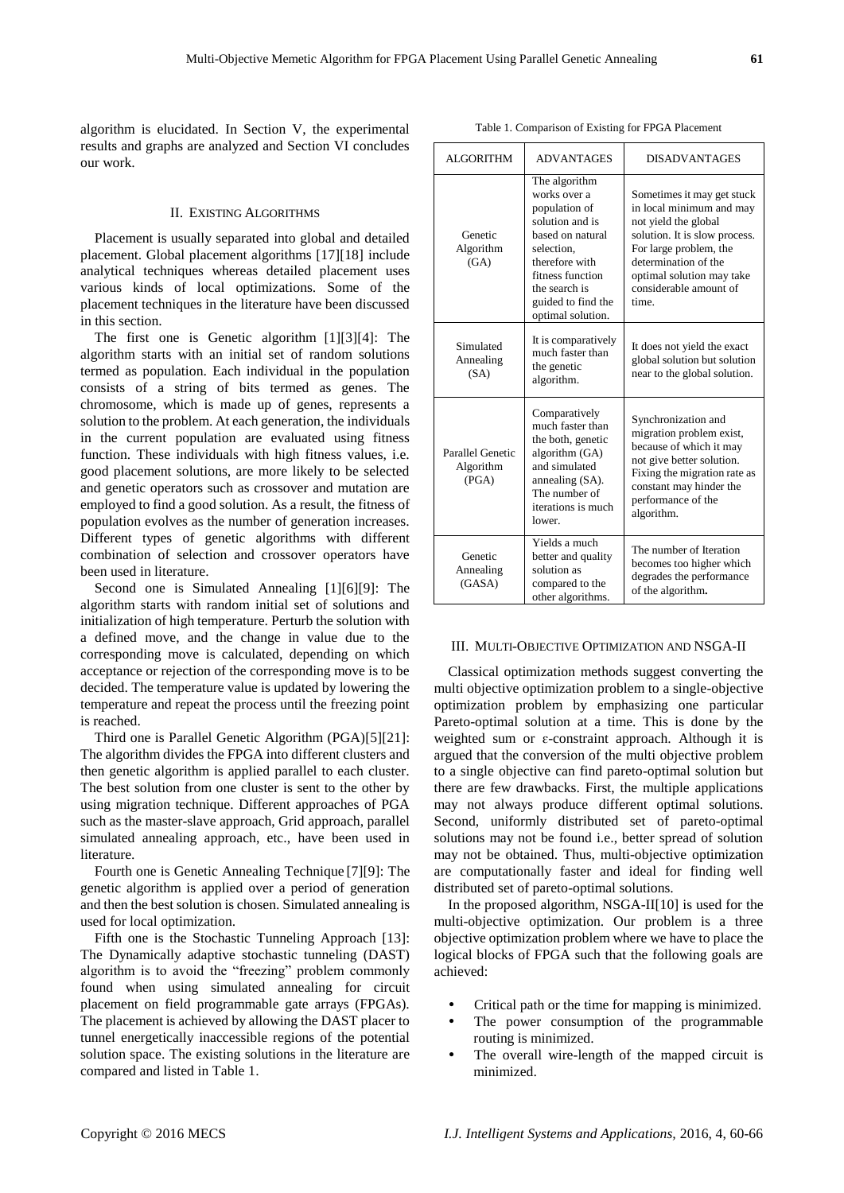algorithm is elucidated. In Section V, the experimental results and graphs are analyzed and Section VI concludes our work.

#### II. EXISTING ALGORITHMS

Placement is usually separated into global and detailed placement. Global placement algorithms [17][18] include analytical techniques whereas detailed placement uses various kinds of local optimizations. Some of the placement techniques in the literature have been discussed in this section.

The first one is Genetic algorithm [1][3][4]: The algorithm starts with an initial set of random solutions termed as population. Each individual in the population consists of a string of bits termed as genes. The chromosome, which is made up of genes, represents a solution to the problem. At each generation, the individuals in the current population are evaluated using fitness function. These individuals with high fitness values, i.e. good placement solutions, are more likely to be selected and genetic operators such as crossover and mutation are employed to find a good solution. As a result, the fitness of population evolves as the number of generation increases. Different types of genetic algorithms with different combination of selection and crossover operators have been used in literature.

Second one is Simulated Annealing [1][6][9]: The algorithm starts with random initial set of solutions and initialization of high temperature. Perturb the solution with a defined move, and the change in value due to the corresponding move is calculated, depending on which acceptance or rejection of the corresponding move is to be decided. The temperature value is updated by lowering the temperature and repeat the process until the freezing point is reached.

Third one is Parallel Genetic Algorithm (PGA)[5][21]: The algorithm divides the FPGA into different clusters and then genetic algorithm is applied parallel to each cluster. The best solution from one cluster is sent to the other by using migration technique. Different approaches of PGA such as the master-slave approach, Grid approach, parallel simulated annealing approach, etc., have been used in literature.

Fourth one is Genetic Annealing Technique [7][9]: The genetic algorithm is applied over a period of generation and then the best solution is chosen. Simulated annealing is used for local optimization.

Fifth one is the Stochastic Tunneling Approach [13]: The Dynamically adaptive stochastic tunneling (DAST) algorithm is to avoid the "freezing" problem commonly found when using simulated annealing for circuit placement on field programmable gate arrays (FPGAs). The placement is achieved by allowing the DAST placer to tunnel energetically inaccessible regions of the potential solution space. The existing solutions in the literature are compared and listed in Table 1.

Table 1. Comparison of Existing for FPGA Placement

| <b>ALGORITHM</b>                       | <b>ADVANTAGES</b>                                                                                                                                                                                     | <b>DISADVANTAGES</b>                                                                                                                                                                                                              |  |
|----------------------------------------|-------------------------------------------------------------------------------------------------------------------------------------------------------------------------------------------------------|-----------------------------------------------------------------------------------------------------------------------------------------------------------------------------------------------------------------------------------|--|
| Genetic<br>Algorithm<br>(GA)           | The algorithm<br>works over a<br>population of<br>solution and is<br>based on natural<br>selection.<br>therefore with<br>fitness function<br>the search is<br>guided to find the<br>optimal solution. | Sometimes it may get stuck<br>in local minimum and may<br>not yield the global<br>solution. It is slow process.<br>For large problem, the<br>determination of the<br>optimal solution may take<br>considerable amount of<br>time. |  |
| Simulated<br>Annealing<br>(SA)         | It is comparatively<br>much faster than<br>the genetic<br>algorithm.                                                                                                                                  | It does not yield the exact<br>global solution but solution<br>near to the global solution.                                                                                                                                       |  |
| Parallel Genetic<br>Algorithm<br>(PGA) | Comparatively<br>much faster than<br>the both, genetic<br>algorithm (GA)<br>and simulated<br>annealing (SA).<br>The number of<br>iterations is much<br>lower.                                         | Synchronization and<br>migration problem exist,<br>because of which it may<br>not give better solution.<br>Fixing the migration rate as<br>constant may hinder the<br>performance of the<br>algorithm.                            |  |
| Genetic<br>Annealing<br>(GASA)         | Yields a much<br>better and quality<br>solution as<br>compared to the<br>other algorithms.                                                                                                            | The number of Iteration<br>becomes too higher which<br>degrades the performance<br>of the algorithm.                                                                                                                              |  |

#### III. MULTI-OBJECTIVE OPTIMIZATION AND NSGA-II

Classical optimization methods suggest converting the multi objective optimization problem to a single-objective optimization problem by emphasizing one particular Pareto-optimal solution at a time. This is done by the weighted sum or ɛ-constraint approach. Although it is argued that the conversion of the multi objective problem to a single objective can find pareto-optimal solution but there are few drawbacks. First, the multiple applications may not always produce different optimal solutions. Second, uniformly distributed set of pareto-optimal solutions may not be found i.e., better spread of solution may not be obtained. Thus, multi-objective optimization are computationally faster and ideal for finding well distributed set of pareto-optimal solutions.

In the proposed algorithm, NSGA-II[10] is used for the multi-objective optimization. Our problem is a three objective optimization problem where we have to place the logical blocks of FPGA such that the following goals are achieved:

- Critical path or the time for mapping is minimized.
- The power consumption of the programmable routing is minimized.
- The overall wire-length of the mapped circuit is minimized.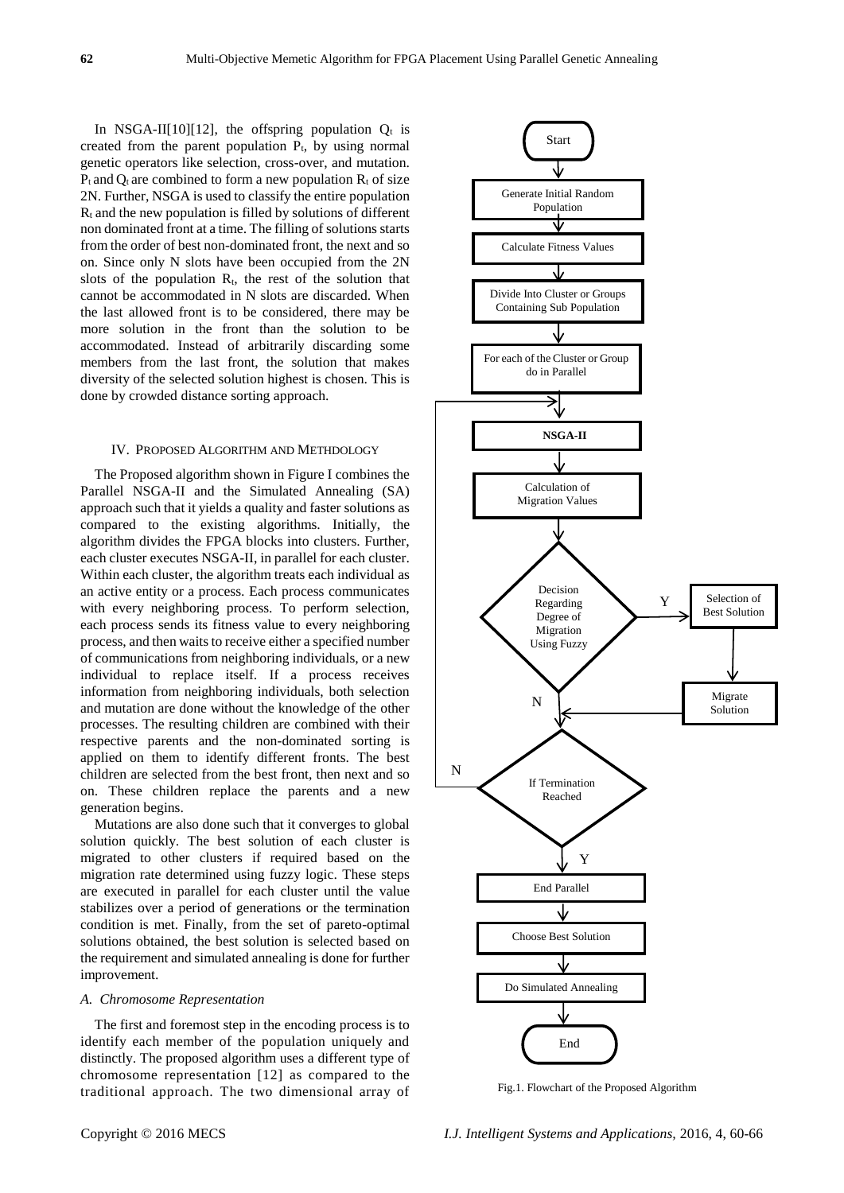In NSGA-II[10][12], the offspring population  $Q_t$  is created from the parent population  $P_t$ , by using normal genetic operators like selection, cross-over, and mutation.  $P_t$  and  $Q_t$  are combined to form a new population  $R_t$  of size 2N. Further, NSGA is used to classify the entire population  $R_t$  and the new population is filled by solutions of different non dominated front at a time. The filling of solutions starts from the order of best non-dominated front, the next and so on. Since only N slots have been occupied from the 2N slots of the population  $R_t$ , the rest of the solution that cannot be accommodated in N slots are discarded. When the last allowed front is to be considered, there may be more solution in the front than the solution to be accommodated. Instead of arbitrarily discarding some members from the last front, the solution that makes diversity of the selected solution highest is chosen. This is done by crowded distance sorting approach.

#### IV. PROPOSED ALGORITHM AND METHDOLOGY

The Proposed algorithm shown in Figure I combines the Parallel NSGA-II and the Simulated Annealing (SA) approach such that it yields a quality and faster solutions as compared to the existing algorithms. Initially, the algorithm divides the FPGA blocks into clusters. Further, each cluster executes NSGA-II, in parallel for each cluster. Within each cluster, the algorithm treats each individual as an active entity or a process. Each process communicates with every neighboring process. To perform selection, each process sends its fitness value to every neighboring process, and then waits to receive either a specified number of communications from neighboring individuals, or a new individual to replace itself. If a process receives information from neighboring individuals, both selection and mutation are done without the knowledge of the other processes. The resulting children are combined with their respective parents and the non-dominated sorting is applied on them to identify different fronts. The best children are selected from the best front, then next and so on. These children replace the parents and a new generation begins.

Mutations are also done such that it converges to global solution quickly. The best solution of each cluster is migrated to other clusters if required based on the migration rate determined using fuzzy logic. These steps are executed in parallel for each cluster until the value stabilizes over a period of generations or the termination condition is met. Finally, from the set of pareto-optimal solutions obtained, the best solution is selected based on the requirement and simulated annealing is done for further improvement.

#### *A. Chromosome Representation*

The first and foremost step in the encoding process is to identify each member of the population uniquely and distinctly. The proposed algorithm uses a different type of chromosome representation [12] as compared to the traditional approach. The two dimensional array of



Fig.1. Flowchart of the Proposed Algorithm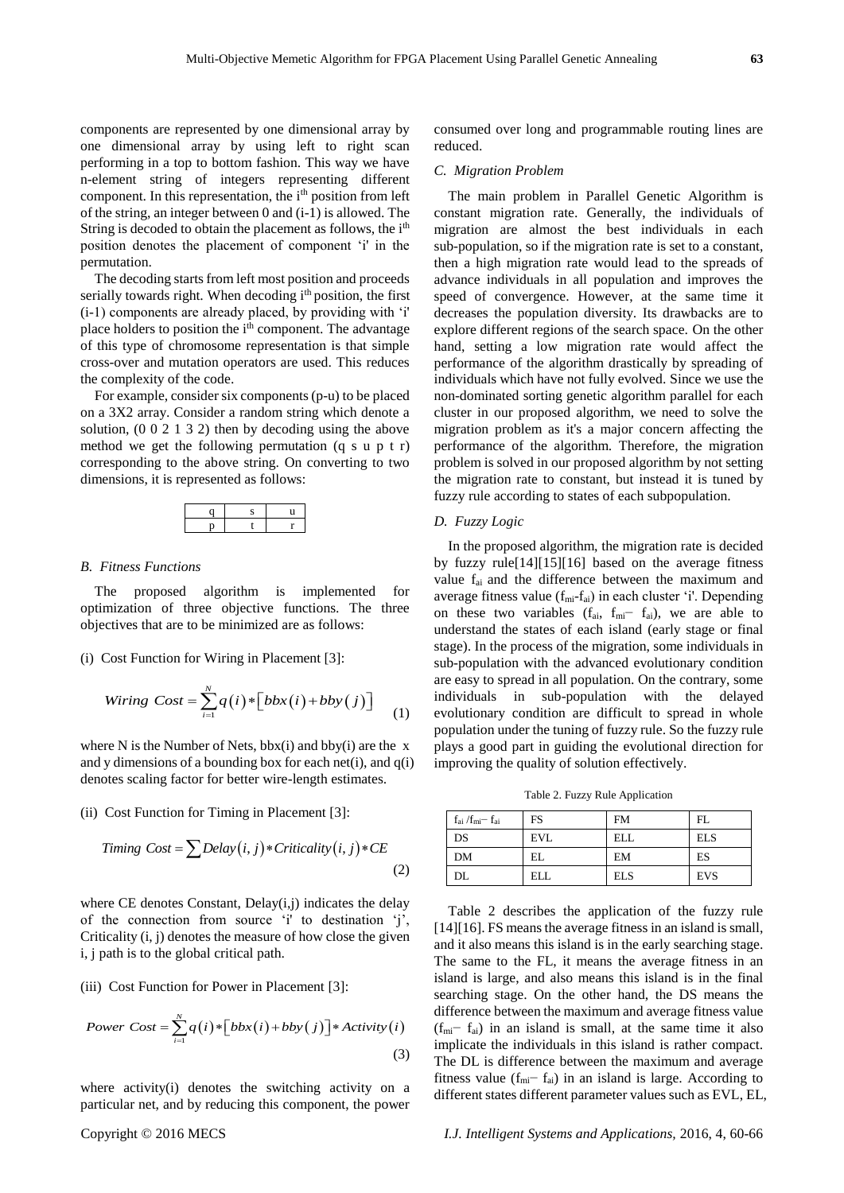components are represented by one dimensional array by one dimensional array by using left to right scan performing in a top to bottom fashion. This way we have n-element string of integers representing different component. In this representation, the i<sup>th</sup> position from left of the string, an integer between 0 and (i-1) is allowed. The String is decoded to obtain the placement as follows, the i<sup>th</sup> position denotes the placement of component 'i' in the permutation.

The decoding starts from left most position and proceeds serially towards right. When decoding i<sup>th</sup> position, the first (i-1) components are already placed, by providing with 'i' place holders to position the  $i<sup>th</sup>$  component. The advantage of this type of chromosome representation is that simple cross-over and mutation operators are used. This reduces the complexity of the code.

For example, consider six components (p-u) to be placed on a 3X2 array. Consider a random string which denote a solution, (0 0 2 1 3 2) then by decoding using the above method we get the following permutation (q s u p t r) corresponding to the above string. On converting to two dimensions, it is represented as follows:



#### *B. Fitness Functions*

The proposed algorithm is implemented for optimization of three objective functions. The three objectives that are to be minimized are as follows:

#### (i) Cost Function for Wiring in Placement [3]:

$$
Writing \; Cost = \sum_{i=1}^{N} q(i) * [bbx(i) + bby(j)] \tag{1}
$$

where N is the Number of Nets,  $bbx(i)$  and  $bby(i)$  are the x and y dimensions of a bounding box for each net(i), and  $q(i)$ denotes scaling factor for better wire-length estimates.

(ii) Cost Function for Timing in Placement [3]:  
Timing Cost = 
$$
\sum
$$
Delay $(i, j)$  \* Criticality $(i, j)$  \* CE (2)

where CE denotes Constant, Delay(i,j) indicates the delay of the connection from source 'i' to destination 'j', Criticality (i, j) denotes the measure of how close the given i, j path is to the global critical path.

(iii) Cost Function for Power in Placement [3]:

$$
[In) Cost Function for Power In Pracement [3]:
$$
  
Power Cost = 
$$
\sum_{i=1}^{N} q(i) * [bbx(i) + bby(j)] * Activity(i)
$$
 (3)

where activity(i) denotes the switching activity on a particular net, and by reducing this component, the power consumed over long and programmable routing lines are reduced.

#### *C. Migration Problem*

The main problem in Parallel Genetic Algorithm is constant migration rate. Generally, the individuals of migration are almost the best individuals in each sub-population, so if the migration rate is set to a constant, then a high migration rate would lead to the spreads of advance individuals in all population and improves the speed of convergence. However, at the same time it decreases the population diversity. Its drawbacks are to explore different regions of the search space. On the other hand, setting a low migration rate would affect the performance of the algorithm drastically by spreading of individuals which have not fully evolved. Since we use the non-dominated sorting genetic algorithm parallel for each cluster in our proposed algorithm, we need to solve the migration problem as it's a major concern affecting the performance of the algorithm. Therefore, the migration problem is solved in our proposed algorithm by not setting the migration rate to constant, but instead it is tuned by fuzzy rule according to states of each subpopulation.

### *D. Fuzzy Logic*

In the proposed algorithm, the migration rate is decided by fuzzy rule[14][15][16] based on the average fitness value fai and the difference between the maximum and average fitness value  $(f_{mi}-f_{ai})$  in each cluster 'i'. Depending on these two variables  $(f_{ai}, f_{mi} - f_{ai})$ , we are able to understand the states of each island (early stage or final stage). In the process of the migration, some individuals in sub-population with the advanced evolutionary condition are easy to spread in all population. On the contrary, some individuals in sub-population with the delayed evolutionary condition are difficult to spread in whole population under the tuning of fuzzy rule. So the fuzzy rule plays a good part in guiding the evolutional direction for improving the quality of solution effectively.

Table 2. Fuzzy Rule Application

| $f_{ai}$ / $f_{mi}$ $f_{ai}$ | FS         | <b>FM</b>  | FL.        |
|------------------------------|------------|------------|------------|
| DS                           | <b>EVL</b> | ELL        | <b>ELS</b> |
| <b>DM</b>                    | EL         | EM         | ES         |
| DL                           | <b>ELL</b> | <b>ELS</b> | <b>EVS</b> |

Table 2 describes the application of the fuzzy rule [14][16]. FS means the average fitness in an island is small, and it also means this island is in the early searching stage. The same to the FL, it means the average fitness in an island is large, and also means this island is in the final searching stage. On the other hand, the DS means the difference between the maximum and average fitness value  $(f<sub>mi</sub>− f<sub>ai</sub>)$  in an island is small, at the same time it also implicate the individuals in this island is rather compact. The DL is difference between the maximum and average fitness value ( $f_{mi}$ −  $f_{ai}$ ) in an island is large. According to different states different parameter values such as EVL, EL,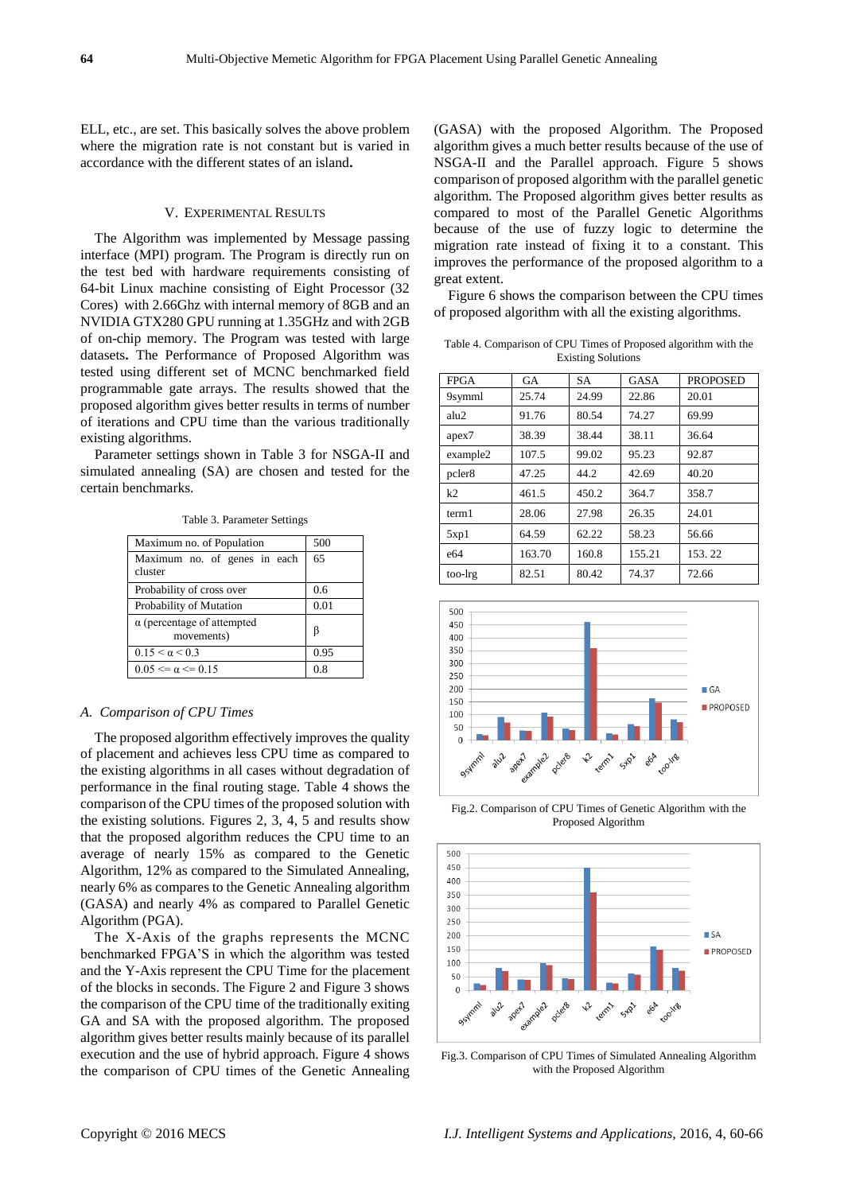ELL, etc., are set. This basically solves the above problem where the migration rate is not constant but is varied in accordance with the different states of an island**.**

#### V. EXPERIMENTAL RESULTS

The Algorithm was implemented by Message passing interface (MPI) program. The Program is directly run on the test bed with hardware requirements consisting of 64-bit Linux machine consisting of Eight Processor (32 Cores) with 2.66Ghz with internal memory of 8GB and an NVIDIA GTX280 GPU running at 1.35GHz and with 2GB of on-chip memory. The Program was tested with large datasets**.** The Performance of Proposed Algorithm was tested using different set of MCNC benchmarked field programmable gate arrays. The results showed that the proposed algorithm gives better results in terms of number of iterations and CPU time than the various traditionally existing algorithms.

Parameter settings shown in Table 3 for NSGA-II and simulated annealing (SA) are chosen and tested for the certain benchmarks.

Table 3. Parameter Settings

| Maximum no. of Population                       | 500  |
|-------------------------------------------------|------|
| Maximum no. of genes in each<br>cluster         | 65   |
| Probability of cross over                       | 0.6  |
| Probability of Mutation                         | 0.01 |
| $\alpha$ (percentage of attempted<br>movements) | β    |
| $0.15 < \alpha < 0.3$                           | 0.95 |
| $0.05 \le \alpha \le 0.15$                      | 0.8  |

#### *A. Comparison of CPU Times*

The proposed algorithm effectively improves the quality of placement and achieves less CPU time as compared to the existing algorithms in all cases without degradation of performance in the final routing stage. Table 4 shows the comparison of the CPU times of the proposed solution with the existing solutions. Figures 2, 3, 4, 5 and results show that the proposed algorithm reduces the CPU time to an average of nearly 15% as compared to the Genetic Algorithm, 12% as compared to the Simulated Annealing, nearly 6% as compares to the Genetic Annealing algorithm (GASA) and nearly 4% as compared to Parallel Genetic Algorithm (PGA).

The X-Axis of the graphs represents the MCNC benchmarked FPGA'S in which the algorithm was tested and the Y-Axis represent the CPU Time for the placement of the blocks in seconds. The Figure 2 and Figure 3 shows the comparison of the CPU time of the traditionally exiting GA and SA with the proposed algorithm. The proposed algorithm gives better results mainly because of its parallel execution and the use of hybrid approach. Figure 4 shows the comparison of CPU times of the Genetic Annealing

(GASA) with the proposed Algorithm. The Proposed algorithm gives a much better results because of the use of NSGA-II and the Parallel approach. Figure 5 shows comparison of proposed algorithm with the parallel genetic algorithm. The Proposed algorithm gives better results as compared to most of the Parallel Genetic Algorithms because of the use of fuzzy logic to determine the migration rate instead of fixing it to a constant. This improves the performance of the proposed algorithm to a great extent.

Figure 6 shows the comparison between the CPU times of proposed algorithm with all the existing algorithms.

Table 4. Comparison of CPU Times of Proposed algorithm with the Existing Solutions

| <b>FPGA</b>        | GA     | SA    | <b>GASA</b> | <b>PROPOSED</b> |
|--------------------|--------|-------|-------------|-----------------|
| 9symml             | 25.74  | 24.99 | 22.86       | 20.01           |
| alu2               | 91.76  | 80.54 | 74.27       | 69.99           |
| apex7              | 38.39  | 38.44 | 38.11       | 36.64           |
| example2           | 107.5  | 99.02 | 95.23       | 92.87           |
| pcler <sub>8</sub> | 47.25  | 44.2  | 42.69       | 40.20           |
| k2                 | 461.5  | 450.2 | 364.7       | 358.7           |
| term1              | 28.06  | 27.98 | 26.35       | 24.01           |
| 5xp1               | 64.59  | 62.22 | 58.23       | 56.66           |
| e64                | 163.70 | 160.8 | 155.21      | 153.22          |
| too-lrg            | 82.51  | 80.42 | 74.37       | 72.66           |



Fig.2. Comparison of CPU Times of Genetic Algorithm with the Proposed Algorithm



Fig.3. Comparison of CPU Times of Simulated Annealing Algorithm with the Proposed Algorithm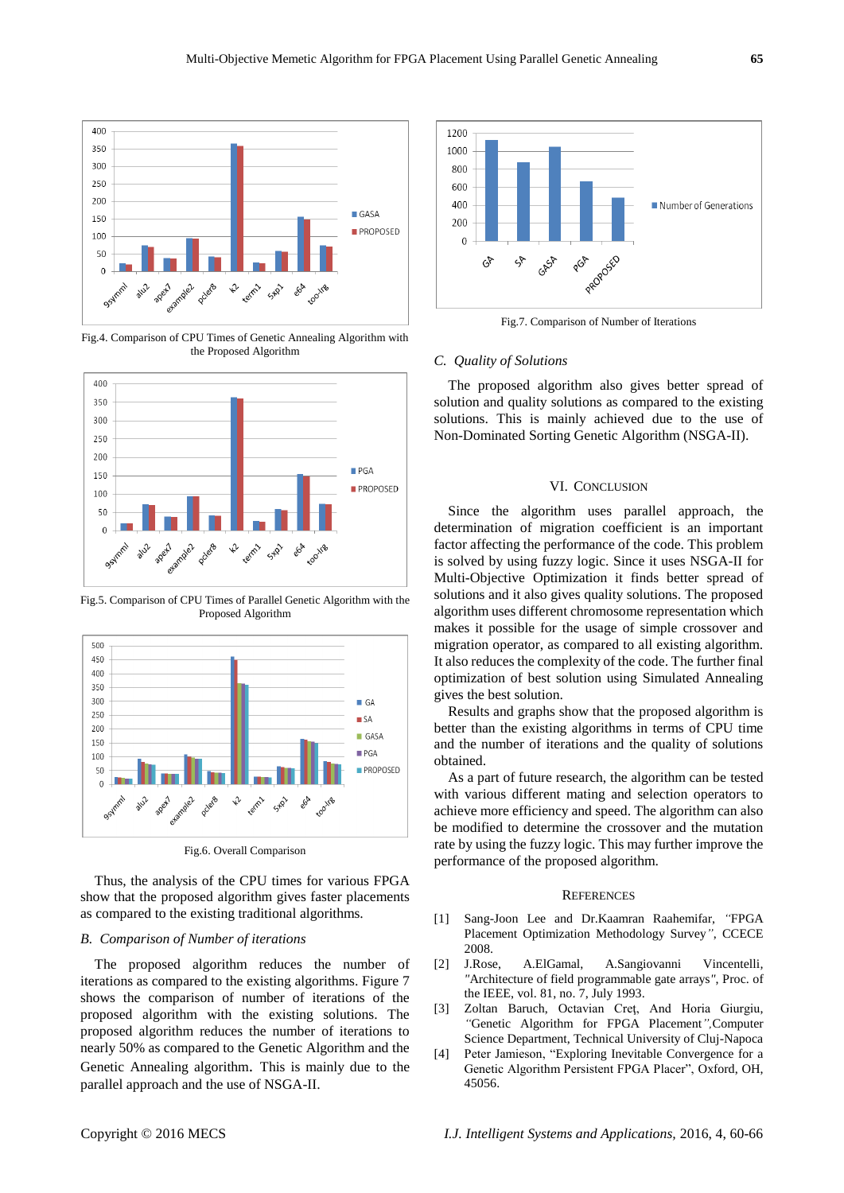

Fig.4. Comparison of CPU Times of Genetic Annealing Algorithm with the Proposed Algorithm



Fig.5. Comparison of CPU Times of Parallel Genetic Algorithm with the Proposed Algorithm



Fig.6. Overall Comparison

Thus, the analysis of the CPU times for various FPGA show that the proposed algorithm gives faster placements as compared to the existing traditional algorithms.

#### *B. Comparison of Number of iterations*

The proposed algorithm reduces the number of iterations as compared to the existing algorithms. Figure 7 shows the comparison of number of iterations of the proposed algorithm with the existing solutions. The proposed algorithm reduces the number of iterations to nearly 50% as compared to the Genetic Algorithm and the Genetic Annealing algorithm. This is mainly due to the parallel approach and the use of NSGA-II.



Fig.7. Comparison of Number of Iterations

#### *C. Quality of Solutions*

The proposed algorithm also gives better spread of solution and quality solutions as compared to the existing solutions. This is mainly achieved due to the use of Non-Dominated Sorting Genetic Algorithm (NSGA-II).

#### VI. CONCLUSION

Since the algorithm uses parallel approach, the determination of migration coefficient is an important factor affecting the performance of the code. This problem is solved by using fuzzy logic. Since it uses NSGA-II for Multi-Objective Optimization it finds better spread of solutions and it also gives quality solutions. The proposed algorithm uses different chromosome representation which makes it possible for the usage of simple crossover and migration operator, as compared to all existing algorithm. It also reduces the complexity of the code. The further final optimization of best solution using Simulated Annealing gives the best solution.

Results and graphs show that the proposed algorithm is better than the existing algorithms in terms of CPU time and the number of iterations and the quality of solutions obtained.

As a part of future research, the algorithm can be tested with various different mating and selection operators to achieve more efficiency and speed. The algorithm can also be modified to determine the crossover and the mutation rate by using the fuzzy logic. This may further improve the performance of the proposed algorithm.

#### **REFERENCES**

- [1] Sang-Joon Lee and Dr.Kaamran Raahemifar, *"*FPGA Placement Optimization Methodology Survey*"*, CCECE 2008.
- [2] J.Rose, A.ElGamal, A.Sangiovanni Vincentelli*, "*Architecture of field programmable gate arrays*"*, Proc. of the IEEE, vol. 81, no. 7, July 1993.
- [3] Zoltan Baruch, Octavian Creţ, And Horia Giurgiu, *"*Genetic Algorithm for FPGA Placement*",*Computer Science Department, Technical University of Cluj-Napoca
- [4] Peter Jamieson, "Exploring Inevitable Convergence for a Genetic Algorithm Persistent FPGA Placer", Oxford, OH, 45056.